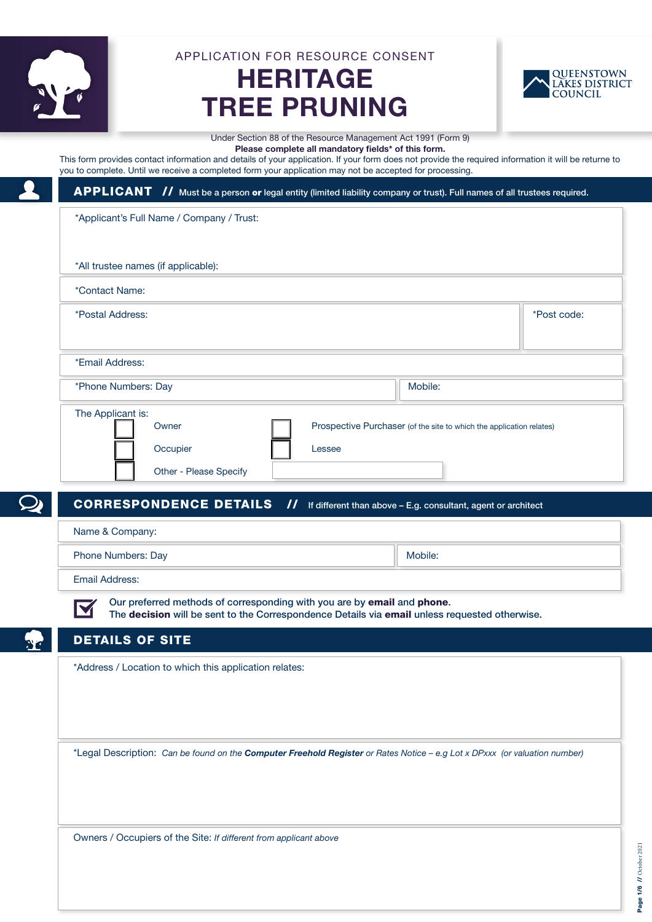

APPLICATION FOR RESOURCE CONSENT

# HERITAGE TREE PRUNING



Under Section 88 of the Resource Management Act 1991 (Form 9) Please complete all mandatory fields\* of this form.

This form provides contact information and details of your application. If your form does not provide the required information it will be returne to you to complete. Until we receive a completed form your application may not be accepted for processing.

## APPLICANT // Must be a person or legal entity (limited liability company or trust). Full names of all trustees required.

\*Applicant's Full Name / Company / Trust:

| *All trustee names (if applicable): |                        |                                                                      |         |             |
|-------------------------------------|------------------------|----------------------------------------------------------------------|---------|-------------|
| *Contact Name:                      |                        |                                                                      |         |             |
| *Postal Address:                    |                        |                                                                      |         | *Post code: |
|                                     |                        |                                                                      |         |             |
| *Email Address:                     |                        |                                                                      |         |             |
| *Phone Numbers: Day                 |                        |                                                                      | Mobile: |             |
| The Applicant is:                   |                        |                                                                      |         |             |
| Owner                               |                        | Prospective Purchaser (of the site to which the application relates) |         |             |
| Occupier                            |                        | Lessee                                                               |         |             |
|                                     | Other - Please Specify |                                                                      |         |             |

CORRESPONDENCE DETAILS // If different than above – E.g. consultant, agent or architect,

Name & Company: Phone Numbers: Day Mobile:

Email Address:

M

Our preferred methods of corresponding with you are by email and phone. The decision will be sent to the Correspondence Details via email unless requested otherwise.

### DETAILS OF SITE

\*Address / Location to which this application relates:

\*Legal Description: *Can be found on the Computer Freehold Register or Rates Notice – e.g Lot x DPxxx (or valuation number)*

Owners / Occupiers of the Site: *If different from applicant above*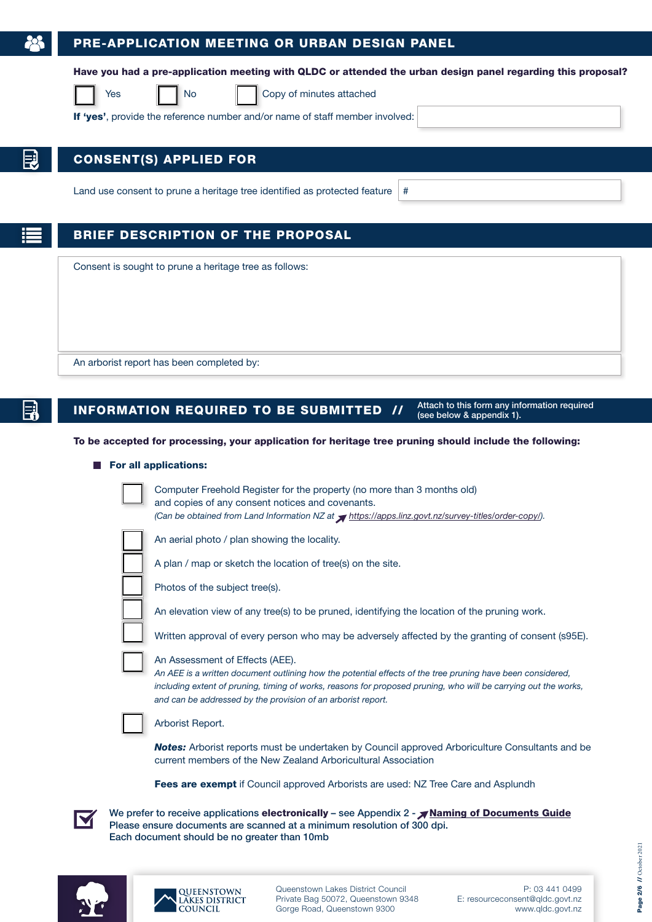### PRE-APPLICATION MEETING OR URBAN DESIGN PANEL

Have you had a pre-application meeting with QLDC or attended the urban design panel regarding this proposal?



Yes **No Copy of minutes attached** 

If 'yes', provide the reference number and/or name of staff member involved:

### CONSENT(S) APPLIED FOR

Land use consent to prune a heritage tree identified as protected feature  $|#$ 

### BRIEF DESCRIPTION OF THE PROPOSAL

Consent is sought to prune a heritage tree as follows:

An arborist report has been completed by:

## **INFORMATION REQUIRED TO BE SUBMITTED**  $\boldsymbol{U}$  Attach to this form any information required

(see below & [appendix 1\).](#page-3-0)

#### To be accepted for processing, your application for heritage tree pruning should include the following:

#### For all applications:



Computer Freehold Register for the property (no more than 3 months old) and copies of any consent notices and covenants. *(Can be obtained from Land Information NZ at [https://apps.linz.govt.nz/survey-titles/order-copy/\).](http://www.linz.govt.nz/land/land-records/order-copy-land-record/land-record-order-form)*

An aerial photo / plan showing the locality.

A plan / map or sketch the location of tree(s) on the site.

Photos of the subject tree(s).

An elevation view of any tree(s) to be pruned, identifying the location of the pruning work.

Written approval of every person who may be adversely affected by the granting of consent (s95E).

#### An Assessment of Effects (AEE).

*An AEE is a written document outlining how the potential effects of the tree pruning have been considered, including extent of pruning, timing of works, reasons for proposed pruning, who will be carrying out the works, and can be addressed by the provision of an arborist report.*



Arborist Report.

**Notes:** Arborist reports must be undertaken by Council approved Arboriculture Consultants and be current members of the New Zealand Arboricultural Association

Fees are exempt if Council approved Arborists are used: NZ Tree Care and Asplundh

We prefer to receive applications electronically – see Appendix  $2 - \sqrt{N}$  [Naming of Documents Guide](#page-5-0) Please ensure documents are scanned at a minimum resolution of 300 dpi. Each document should be no greater than 10mb





Queenstown Lakes District Council Private Bag 50072, Queenstown 9348 Gorge Road, Queenstown 9300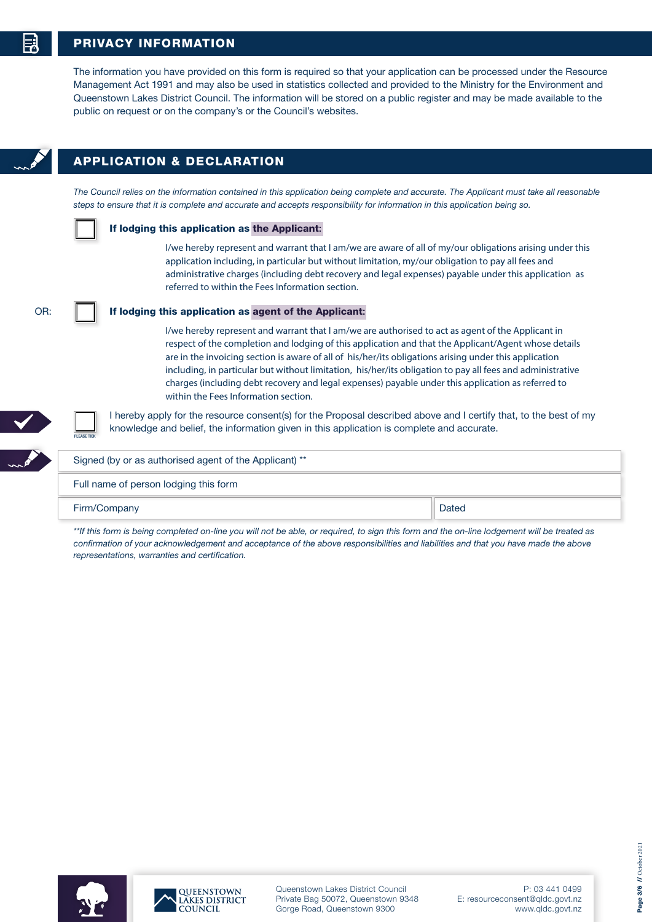### PRIVACY INFORMATION

The information you have provided on this form is required so that your application can be processed under the Resource Management Act 1991 and may also be used in statistics collected and provided to the Ministry for the Environment and Queenstown Lakes District Council. The information will be stored on a public register and may be made available to the public on request or on the company's or the Council's websites.



### APPLICATION & DECLARATION

The Council relies on the information contained in this application being complete and accurate. The Applicant must take all reasonable *steps to ensure that it is complete and accurate and accepts responsibility for information in this application being so.* 

PLEASE TICK

#### If lodging this application as the Applicant:

I/we hereby represent and warrant that I am/we are aware of all of my/our obligations arising under this application including, in particular but without limitation, my/our obligation to pay all fees and administrative charges (including debt recovery and legal expenses) payable under this application as referred to within the Fees Information section.

OR:

### If lodging this application as agent of the Applicant:

I/we hereby represent and warrant that I am/we are authorised to act as agent of the Applicant in respect of the completion and lodging of this application and that the Applicant/Agent whose details are in the invoicing section is aware of all of his/her/its obligations arising under this application including, in particular but without limitation, his/her/its obligation to pay all fees and administrative charges (including debt recovery and legal expenses) payable under this application as referred to within the Fees Information section.

I hereby apply for the resource consent(s) for the Proposal described above and I certify that, to the best of my knowledge and belief, the information given in this application is complete and accurate.

| Signed (by or as authorised agent of the Applicant) ** |       |  |
|--------------------------------------------------------|-------|--|
| Full name of person lodging this form                  |       |  |
| Firm/Company                                           | Dated |  |

*\*\*If this form is being completed on-line you will not be able, or required, to sign this form and the on-line lodgement will be treated as confirmation of your acknowledgement and acceptance of the above responsibilities and liabilities and that you have made the above representations, warranties and certification.*



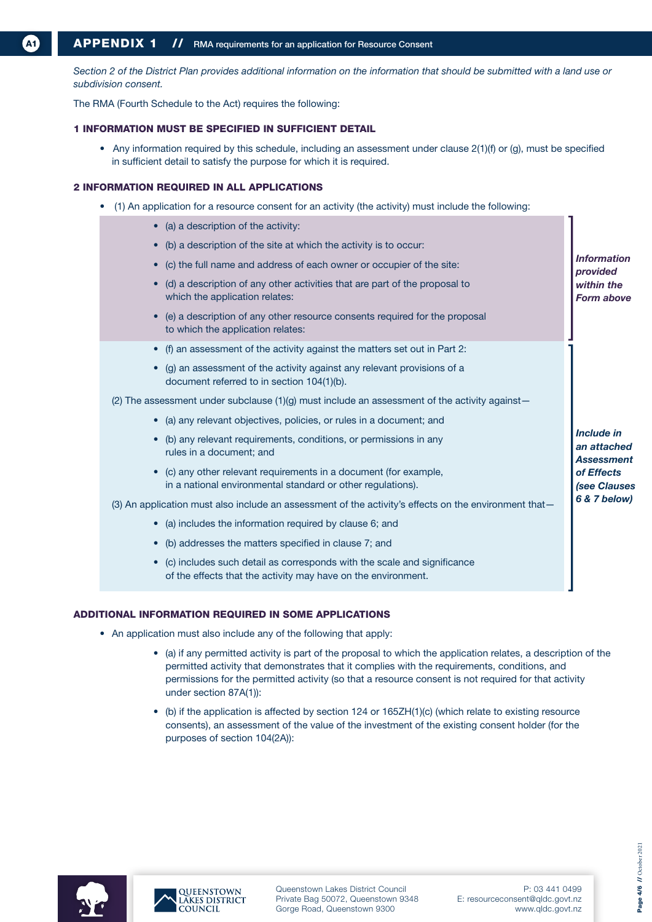<span id="page-3-0"></span>*Section 2 of the District Plan provides additional information on the information that should be submitted with a land use or subdivision consent.*

The RMA (Fourth Schedule to the Act) requires the following:

#### 1 INFORMATION MUST BE SPECIFIED IN SUFFICIENT DETAIL

• Any information required by this schedule, including an assessment under clause 2(1)(f) or (g), must be specified in sufficient detail to satisfy the purpose for which it is required.

#### 2 INFORMATION REQUIRED IN ALL APPLICATIONS

- (1) An application for a resource consent for an activity (the activity) must include the following:
	- (a) a description of the activity: • (b) a description of the site at which the activity is to occur: • (c) the full name and address of each owner or occupier of the site: • (d) a description of any other activities that are part of the proposal to which the application relates: • (e) a description of any other resource consents required for the proposal to which the application relates: • (f) an assessment of the activity against the matters set out in Part 2: • (g) an assessment of the activity against any relevant provisions of a document referred to in section 104(1)(b). (2) The assessment under subclause  $(1)(q)$  must include an assessment of the activity against-• (a) any relevant objectives, policies, or rules in a document; and • (b) any relevant requirements, conditions, or permissions in any rules in a document; and • (c) any other relevant requirements in a document (for example, in a national environmental standard or other regulations). (3) An application must also include an assessment of the activity's effects on the environment that-• (a) includes the information required by clause 6; and • (b) addresses the matters specified in clause 7; and • (c) includes such detail as corresponds with the scale and significance of the effects that the activity may have on the environment. *Information provided within the Form above Include in an attached Assessment of Effects (see Clauses 6 & 7 below)*

### ADDITIONAL INFORMATION REQUIRED IN SOME APPLICATIONS

- An application must also include any of the following that apply:
	- (a) if any permitted activity is part of the proposal to which the application relates, a description of the permitted activity that demonstrates that it complies with the requirements, conditions, and permissions for the permitted activity (so that a resource consent is not required for that activity under section 87A(1)):
	- (b) if the application is affected by section 124 or 165ZH(1)(c) (which relate to existing resource consents), an assessment of the value of the investment of the existing consent holder (for the purposes of section 104(2A)):





Queenstown Lakes District Council Private Bag 50072, Queenstown 9348 Gorge Road, Queenstown 9300

P: 03 441 0499 E: resourceconsent@qldc.govt.nz www.qldc.govt.nz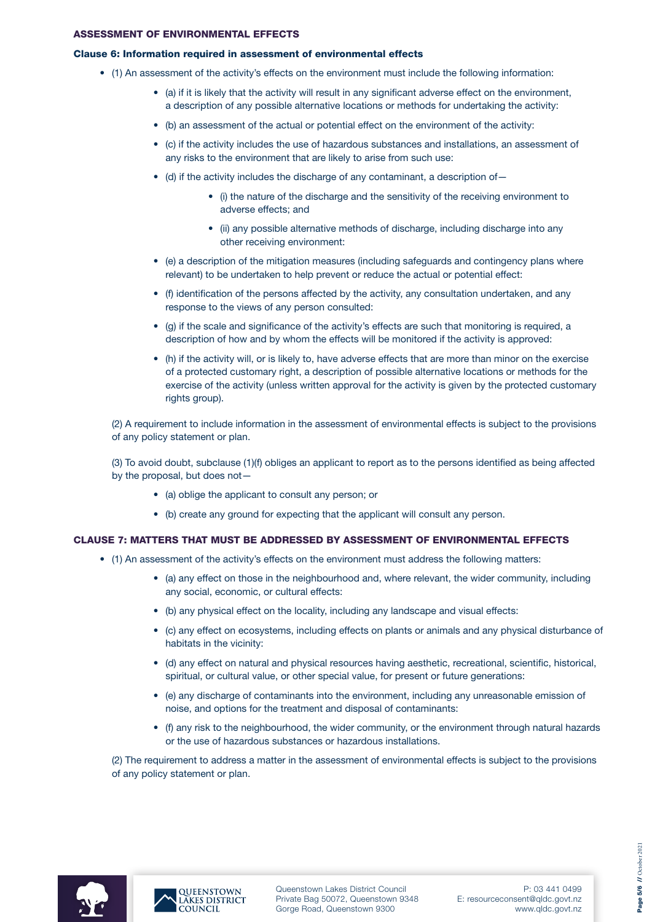### ASSESSMENT OF ENVIRONMENTAL EFFECTS

#### Clause 6: Information required in assessment of environmental effects

- (1) An assessment of the activity's effects on the environment must include the following information:
	- (a) if it is likely that the activity will result in any significant adverse effect on the environment, a description of any possible alternative locations or methods for undertaking the activity:
	- (b) an assessment of the actual or potential effect on the environment of the activity:
	- (c) if the activity includes the use of hazardous substances and installations, an assessment of any risks to the environment that are likely to arise from such use:
	- (d) if the activity includes the discharge of any contaminant, a description of—
		- (i) the nature of the discharge and the sensitivity of the receiving environment to adverse effects; and
		- (ii) any possible alternative methods of discharge, including discharge into any other receiving environment:
	- (e) a description of the mitigation measures (including safeguards and contingency plans where relevant) to be undertaken to help prevent or reduce the actual or potential effect:
	- (f) identification of the persons affected by the activity, any consultation undertaken, and any response to the views of any person consulted:
	- (g) if the scale and significance of the activity's effects are such that monitoring is required, a description of how and by whom the effects will be monitored if the activity is approved:
	- (h) if the activity will, or is likely to, have adverse effects that are more than minor on the exercise of a protected customary right, a description of possible alternative locations or methods for the exercise of the activity (unless written approval for the activity is given by the protected customary rights group).

(2) A requirement to include information in the assessment of environmental effects is subject to the provisions of any policy statement or plan.

(3) To avoid doubt, subclause (1)(f) obliges an applicant to report as to the persons identified as being affected by the proposal, but does not—

- (a) oblige the applicant to consult any person; or
- (b) create any ground for expecting that the applicant will consult any person.

### CLAUSE 7: MATTERS THAT MUST BE ADDRESSED BY ASSESSMENT OF ENVIRONMENTAL EFFECTS

- (1) An assessment of the activity's effects on the environment must address the following matters:
	- (a) any effect on those in the neighbourhood and, where relevant, the wider community, including any social, economic, or cultural effects:
	- (b) any physical effect on the locality, including any landscape and visual effects:
	- (c) any effect on ecosystems, including effects on plants or animals and any physical disturbance of habitats in the vicinity:
	- (d) any effect on natural and physical resources having aesthetic, recreational, scientific, historical, spiritual, or cultural value, or other special value, for present or future generations:
	- (e) any discharge of contaminants into the environment, including any unreasonable emission of noise, and options for the treatment and disposal of contaminants:
	- (f) any risk to the neighbourhood, the wider community, or the environment through natural hazards or the use of hazardous substances or hazardous installations.

(2) The requirement to address a matter in the assessment of environmental effects is subject to the provisions of any policy statement or plan.